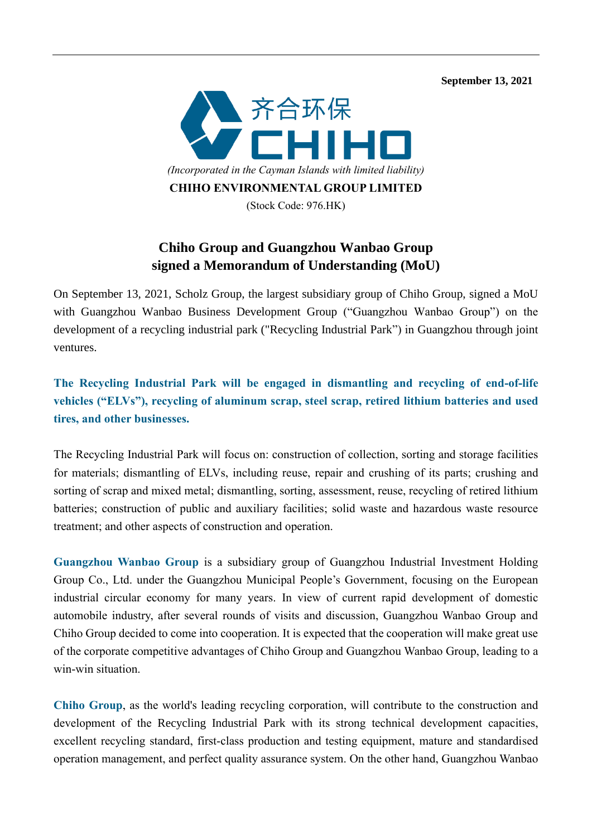**September 13, 2021** 



## **Chiho Group and Guangzhou Wanbao Group signed a Memorandum of Understanding (MoU)**

On September 13, 2021, Scholz Group, the largest subsidiary group of Chiho Group, signed a MoU with Guangzhou Wanbao Business Development Group ("Guangzhou Wanbao Group") on the development of a recycling industrial park ("Recycling Industrial Park") in Guangzhou through joint ventures.

**The Recycling Industrial Park will be engaged in dismantling and recycling of end-of-life vehicles ("ELVs"), recycling of aluminum scrap, steel scrap, retired lithium batteries and used tires, and other businesses.**

The Recycling Industrial Park will focus on: construction of collection, sorting and storage facilities for materials; dismantling of ELVs, including reuse, repair and crushing of its parts; crushing and sorting of scrap and mixed metal; dismantling, sorting, assessment, reuse, recycling of retired lithium batteries; construction of public and auxiliary facilities; solid waste and hazardous waste resource treatment; and other aspects of construction and operation.

**Guangzhou Wanbao Group** is a subsidiary group of Guangzhou Industrial Investment Holding Group Co., Ltd. under the Guangzhou Municipal People's Government, focusing on the European industrial circular economy for many years. In view of current rapid development of domestic automobile industry, after several rounds of visits and discussion, Guangzhou Wanbao Group and Chiho Group decided to come into cooperation. It is expected that the cooperation will make great use of the corporate competitive advantages of Chiho Group and Guangzhou Wanbao Group, leading to a win-win situation.

**Chiho Group**, as the world's leading recycling corporation, will contribute to the construction and development of the Recycling Industrial Park with its strong technical development capacities, excellent recycling standard, first-class production and testing equipment, mature and standardised operation management, and perfect quality assurance system. On the other hand, Guangzhou Wanbao